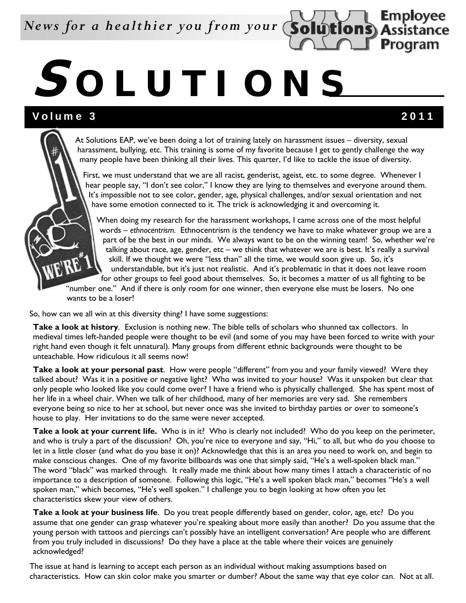*News for a healthier you from your*

# **S OLUTIONS**

### Volume 3 2011

**Employee Assistance Program** 

At Solutions EAP, we've been doing a lot of training lately on harassment issues – diversity, sexual harassment, bullying, etc. This training is some of my favorite because I get to gently challenge the way many people have been thinking all their lives. This quarter, I'd like to tackle the issue of diversity.

First, we must understand that we are all racist, genderist, ageist, etc. to some degree. Whenever I hear people say, "I don't see color," I know they are lying to themselves and everyone around them. It's impossible not to see color, gender, age, physical challenges, and/or sexual orientation and not have some emotion connected to it. The trick is acknowledging it and overcoming it.

When doing my research for the harassment workshops, I came across one of the most helpful words – *ethnocentrism.* Ethnocentrism is the tendency we have to make whatever group we are a part of be the best in our minds. We always want to be on the winning team! So, whether we're talking about race, age, gender, etc – we think that whatever we are is best. It's really a survival skill. If we thought we were "less than" all the time, we would soon give up. So, it's understandable, but it's just not realistic. And it's problematic in that it does not leave room for other groups to feel good about themselves. So, it becomes a matter of us all fighting to be

"number one." And if there is only room for one winner, then everyone else must be losers. No one wants to be a loser!

So, how can we all win at this diversity thing? I have some suggestions:

**Take a look at history**. Exclusion is nothing new. The bible tells of scholars who shunned tax collectors. In medieval times left-handed people were thought to be evil (and some of you may have been forced to write with your right hand even though it felt unnatural). Many groups from different ethnic backgrounds were thought to be unteachable. How ridiculous it all seems now!

**Take a look at your personal past**. How were people "different" from you and your family viewed? Were they talked about? Was it in a positive or negative light? Who was invited to your house? Was it unspoken but clear that only people who looked like you could come over? I have a friend who is physically challenged. She has spent most of her life in a wheel chair. When we talk of her childhood, many of her memories are very sad. She remembers everyone being so nice to her at school, but never once was she invited to birthday parties or over to someone's house to play. Her invitations to do the same were never accepted.

**Take a look at your current life.** Who is in it? Who is clearly not included? Who do you keep on the perimeter, and who is truly a part of the discussion? Oh, you're nice to everyone and say, "Hi," to all, but who do you choose to let in a little closer (and what do you base it on)? Acknowledge that this is an area you need to work on, and begin to make conscious changes. One of my favorite billboards was one that simply said, "He's a well-spoken black man." The word "black" was marked through. It really made me think about how many times I attach a characteristic of no importance to a description of someone. Following this logic, "He's a well spoken black man," becomes "He's a well spoken man," which becomes, "He's well spoken." I challenge you to begin looking at how often you let characteristics skew your view of others.

**Take a look at your business life**. Do you treat people differently based on gender, color, age, etc? Do you assume that one gender can grasp whatever you're speaking about more easily than another? Do you assume that the young person with tattoos and piercings can't possibly have an intelligent conversation? Are people who are different from you truly included in discussions? Do they have a place at the table where their voices are genuinely acknowledged?

The issue at hand is learning to accept each person as an individual without making assumptions based on characteristics. How can skin color make you smarter or dumber? About the same way that eye color can. Not at all.